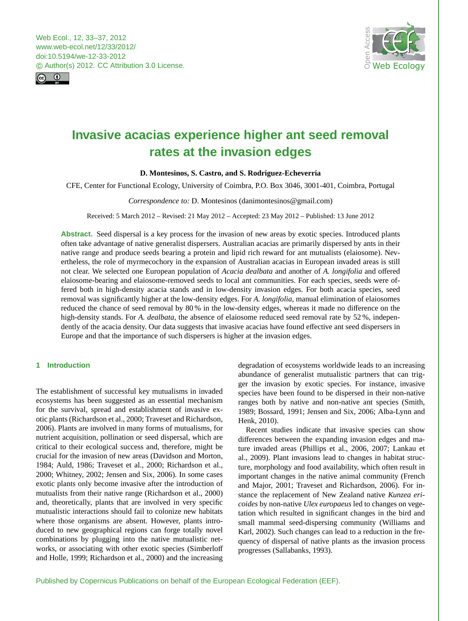<span id="page-0-0"></span>



# **Invasive acacias experience higher ant seed removal rates at the invasion edges**

# **D. Montesinos, S. Castro, and S. Rodríguez-Echeverría**

CFE, Center for Functional Ecology, University of Coimbra, P.O. Box 3046, 3001-401, Coimbra, Portugal

## *Correspondence to:* D. Montesinos (danimontesinos@gmail.com)

Received: 5 March 2012 – Revised: 21 May 2012 – Accepted: 23 May 2012 – Published: 13 June 2012

**Abstract.** Seed dispersal is a key process for the invasion of new areas by exotic species. Introduced plants often take advantage of native generalist dispersers. Australian acacias are primarily dispersed by ants in their native range and produce seeds bearing a protein and lipid rich reward for ant mutualists (elaiosome). Nevertheless, the role of myrmecochory in the expansion of Australian acacias in European invaded areas is still not clear. We selected one European population of *Acacia dealbata* and another of *A. longifolia* and offered elaiosome-bearing and elaiosome-removed seeds to local ant communities. For each species, seeds were offered both in high-density acacia stands and in low-density invasion edges. For both acacia species, seed removal was significantly higher at the low-density edges. For *A. longifolia*, manual elimination of elaiosomes reduced the chance of seed removal by 80 % in the low-density edges, whereas it made no difference on the high-density stands. For *A. dealbata*, the absence of elaiosome reduced seed removal rate by 52 %, independently of the acacia density. Our data suggests that invasive acacias have found effective ant seed dispersers in Europe and that the importance of such dispersers is higher at the invasion edges.

# **1 Introduction**

The establishment of successful key mutualisms in invaded ecosystems has been suggested as an essential mechanism for the survival, spread and establishment of invasive exotic plants (Richardson et al., 2000; Traveset and Richardson, 2006). Plants are involved in many forms of mutualisms, for nutrient acquisition, pollination or seed dispersal, which are critical to their ecological success and, therefore, might be crucial for the invasion of new areas (Davidson and Morton, 1984; Auld, 1986; Traveset et al., 2000; Richardson et al., 2000; Whitney, 2002; Jensen and Six, 2006). In some cases exotic plants only become invasive after the introduction of mutualists from their native range (Richardson et al., 2000) and, theoretically, plants that are involved in very specific mutualistic interactions should fail to colonize new habitats where those organisms are absent. However, plants introduced to new geographical regions can forge totally novel combinations by plugging into the native mutualistic networks, or associating with other exotic species (Simberloff and Holle, 1999; Richardson et al., 2000) and the increasing degradation of ecosystems worldwide leads to an increasing abundance of generalist mutualistic partners that can trigger the invasion by exotic species. For instance, invasive species have been found to be dispersed in their non-native ranges both by native and non-native ant species (Smith, 1989; Bossard, 1991; Jensen and Six, 2006; Alba-Lynn and Henk, 2010).

Recent studies indicate that invasive species can show differences between the expanding invasion edges and mature invaded areas (Phillips et al., 2006, 2007; Lankau et al., 2009). Plant invasions lead to changes in habitat structure, morphology and food availability, which often result in important changes in the native animal community (French and Major, 2001; Traveset and Richardson, 2006). For instance the replacement of New Zealand native *Kunzea ericoides* by non-native *Ulex europaeus* led to changes on vegetation which resulted in significant changes in the bird and small mammal seed-dispersing community (Williams and Karl, 2002). Such changes can lead to a reduction in the frequency of dispersal of native plants as the invasion process progresses (Sallabanks, 1993).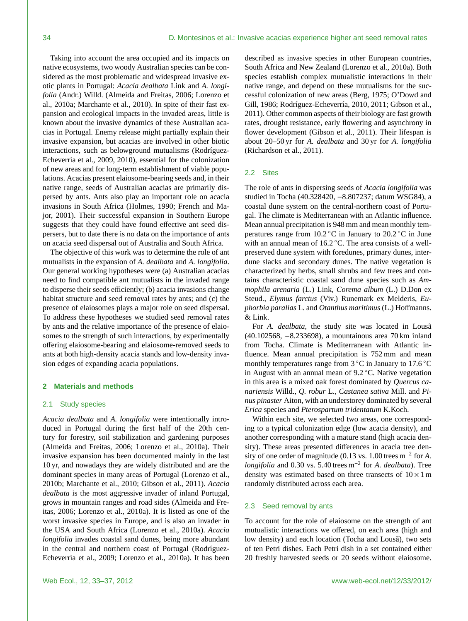Taking into account the area occupied and its impacts on native ecosystems, two woody Australian species can be considered as the most problematic and widespread invasive exotic plants in Portugal: *Acacia dealbata* Link and *A. longifolia* (Andr.) Willd. (Almeida and Freitas, 2006; Lorenzo et al., 2010a; Marchante et al., 2010). In spite of their fast expansion and ecological impacts in the invaded areas, little is known about the invasive dynamics of these Australian acacias in Portugal. Enemy release might partially explain their invasive expansion, but acacias are involved in other biotic interactions, such as belowground mutualisms (Rodríguez-Echeverría et al., 2009, 2010), essential for the colonization of new areas and for long-term establishment of viable populations. Acacias present elaiosome-bearing seeds and, in their native range, seeds of Australian acacias are primarily dispersed by ants. Ants also play an important role on acacia invasions in South Africa (Holmes, 1990; French and Major, 2001). Their successful expansion in Southern Europe suggests that they could have found effective ant seed dispersers, but to date there is no data on the importance of ants on acacia seed dispersal out of Australia and South Africa.

The objective of this work was to determine the role of ant mutualists in the expansion of *A. dealbata* and *A. longifolia*. Our general working hypotheses were (a) Australian acacias need to find compatible ant mutualists in the invaded range to disperse their seeds efficiently; (b) acacia invasions change habitat structure and seed removal rates by ants; and (c) the presence of elaiosomes plays a major role on seed dispersal. To address these hypotheses we studied seed removal rates by ants and the relative importance of the presence of elaiosomes to the strength of such interactions, by experimentally offering elaiosome-bearing and elaiosome-removed seeds to ants at both high-density acacia stands and low-density invasion edges of expanding acacia populations.

#### **2 Materials and methods**

#### 2.1 Study species

*Acacia dealbata* and *A. longifolia* were intentionally introduced in Portugal during the first half of the 20th century for forestry, soil stabilization and gardening purposes (Almeida and Freitas, 2006; Lorenzo et al., 2010a). Their invasive expansion has been documented mainly in the last 10 yr, and nowadays they are widely distributed and are the dominant species in many areas of Portugal (Lorenzo et al., 2010b; Marchante et al., 2010; Gibson et al., 2011). *Acacia dealbata* is the most aggressive invader of inland Portugal, grows in mountain ranges and road sides (Almeida and Freitas, 2006; Lorenzo et al., 2010a). It is listed as one of the worst invasive species in Europe, and is also an invader in the USA and South Africa (Lorenzo et al., 2010a). *Acacia longifolia* invades coastal sand dunes, being more abundant in the central and northern coast of Portugal (Rodríguez-Echeverría et al., 2009; Lorenzo et al., 2010a). It has been

described as invasive species in other European countries, South Africa and New Zealand (Lorenzo et al., 2010a). Both species establish complex mutualistic interactions in their native range, and depend on these mutualisms for the successful colonization of new areas (Berg, 1975; O'Dowd and Gill, 1986; Rodríguez-Echeverría, 2010, 2011; Gibson et al., 2011). Other common aspects of their biology are fast growth rates, drought resistance, early flowering and asynchrony in flower development (Gibson et al., 2011). Their lifespan is about 20–50 yr for *A. dealbata* and 30 yr for *A. longifolia* (Richardson et al., 2011).

# 2.2 Sites

The role of ants in dispersing seeds of *Acacia longifolia* was studied in Tocha (40.328420, −8.807237; datum WSG84), a coastal dune system on the central-northern coast of Portugal. The climate is Mediterranean with an Atlantic influence. Mean annual precipitation is 948 mm and mean monthly temperatures range from  $10.2 \degree C$  in January to  $20.2 \degree C$  in June with an annual mean of  $16.2^{\circ}$ C. The area consists of a wellpreserved dune system with foredunes, primary dunes, interdune slacks and secondary dunes. The native vegetation is characterized by herbs, small shrubs and few trees and contains characteristic coastal sand dune species such as *Ammophila arenaria* (L.) Link, *Corema album* (L.) D.Don ex Steud., *Elymus farctus* (Viv.) Runemark ex Melderis, *Euphorbia paralias* L. and *Otanthus maritimus* (L.) Hoffmanns. & Link.

For *A. dealbata*, the study site was located in Lousa (40.102568, −8.233698), a mountainous area 70 km inland from Tocha. Climate is Mediterranean with Atlantic influence. Mean annual precipitation is 752 mm and mean monthly temperatures range from  $3^{\circ}$ C in January to 17.6 °C in August with an annual mean of 9.2 ◦C. Native vegetation in this area is a mixed oak forest dominated by *Quercus canariensis* Willd., *Q. robur* L., *Castanea sativa* Mill. and *Pinus pinaster* Aiton, with an understorey dominated by several *Erica* species and *Pterospartum tridentatum* K.Koch.

Within each site, we selected two areas, one corresponding to a typical colonization edge (low acacia density), and another corresponding with a mature stand (high acacia density). These areas presented differences in acacia tree density of one order of magnitude (0.13 vs. 1.00 trees m<sup>−</sup><sup>2</sup> for *A. longifolia* and 0.30 vs. 5.40 trees m<sup>-2</sup> for *A. dealbata*). Tree density was estimated based on three transects of  $10 \times 1$  m randomly distributed across each area.

## 2.3 Seed removal by ants

To account for the role of elaiosome on the strength of ant mutualistic interactions we offered, on each area (high and low density) and each location (Tocha and Lousa), two sets of ten Petri dishes. Each Petri dish in a set contained either 20 freshly harvested seeds or 20 seeds without elaiosome.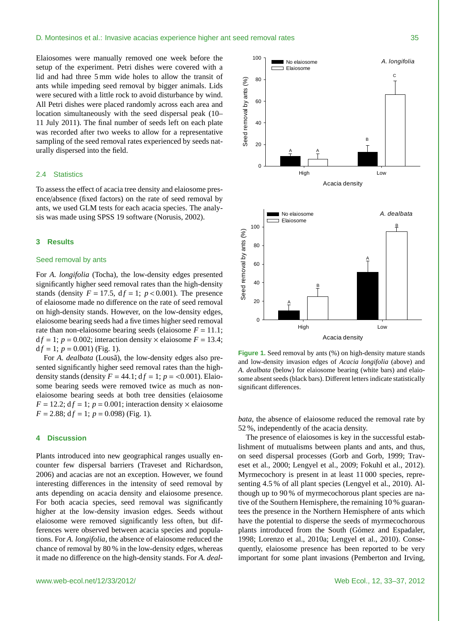Elaiosomes were manually removed one week before the setup of the experiment. Petri dishes were covered with a lid and had three 5 mm wide holes to allow the transit of ants while impeding seed removal by bigger animals. Lids were secured with a little rock to avoid disturbance by wind. All Petri dishes were placed randomly across each area and location simultaneously with the seed dispersal peak (10– 11 July 2011). The final number of seeds left on each plate was recorded after two weeks to allow for a representative sampling of the seed removal rates experienced by seeds naturally dispersed into the field.

#### 2.4 Statistics

To assess the effect of acacia tree density and elaiosome presence/absence (fixed factors) on the rate of seed removal by ants, we used GLM tests for each acacia species. The analysis was made using SPSS 19 software (Norusis, 2002).

#### **3 Results**

#### Seed removal by ants

For *A. longifolia* (Tocha), the low-density edges presented significantly higher seed removal rates than the high-density stands (density  $F = 17.5$ ,  $df = 1$ ;  $p < 0.001$ ). The presence of elaiosome made no difference on the rate of seed removal on high-density stands. However, on the low-density edges, elaiosome bearing seeds had a five times higher seed removal rate than non-elaiosome bearing seeds (elaiosome  $F = 11.1$ ;  $df = 1$ ;  $p = 0.002$ ; interaction density  $\times$  elaiosome  $F = 13.4$ ;<br> $df = 1$ ;  $p = 0.001$ ) (Fig. 1)  $df = 1$ ;  $p = 0.001$ ) (Fig. 1).

For *A. dealbata* (Lousa), the low-density edges also presented significantly higher seed removal rates than the highdensity stands (density  $F = 44.1$ ;  $df = 1$ ;  $p = 0.001$ ). Elaiosome bearing seeds were removed twice as much as nonelaiosome bearing seeds at both tree densities (elaiosome  $F = 12.2$ ;  $df = 1$ ;  $p = 0.001$ ; interaction density  $\times$  elaiosome  $F = 2.88$ ;  $df = 1$ ;  $p = 0.098$ ) (Fig. 1).

#### **4 Discussion**

Plants introduced into new geographical ranges usually encounter few dispersal barriers (Traveset and Richardson, 2006) and acacias are not an exception. However, we found interesting differences in the intensity of seed removal by ants depending on acacia density and elaiosome presence. For both acacia species, seed removal was significantly higher at the low-density invasion edges. Seeds without elaiosome were removed significantly less often, but differences were observed between acacia species and populations. For *A. longifolia*, the absence of elaiosome reduced the chance of removal by 80 % in the low-density edges, whereas it made no difference on the high-density stands. For *A. deal-*



285 **Figure 1**: Seed removal by ants (%) on high‐density mature stands and low‐density invasion edges of 286 *Acacia longifolia* (above) and *A. dealbata* (below) for elaiosome bearing (white bars) and elaiosome

**Figure 1.** Seed removal by ants (%) on high-density mature stands and low-density invasion edges of *Acacia longifolia* (above) and *A. dealbata* (below) for elaiosome bearing (white bars) and elaiosome absent seeds (black bars). Different letters indicate statistically significant differences.

Acacia density

*bata*, the absence of elaiosome reduced the removal rate by 52 %, independently of the acacia density.

The presence of elaiosomes is key in the successful establishment of mutualisms between plants and ants, and thus, on seed dispersal processes (Gorb and Gorb, 1999; Traveset et al., 2000; Lengyel et al., 2009; Fokuhl et al., 2012). Myrmecochory is present in at least 11 000 species, representing 4.5 % of all plant species (Lengyel et al., 2010). Although up to 90 % of myrmecochorous plant species are native of the Southern Hemisphere, the remaining 10 % guarantees the presence in the Northern Hemisphere of ants which have the potential to disperse the seeds of myrmecochorous plants introduced from the South (Gómez and Espadaler, 1998; Lorenzo et al., 2010a; Lengyel et al., 2010). Consequently, elaiosome presence has been reported to be very important for some plant invasions (Pemberton and Irving,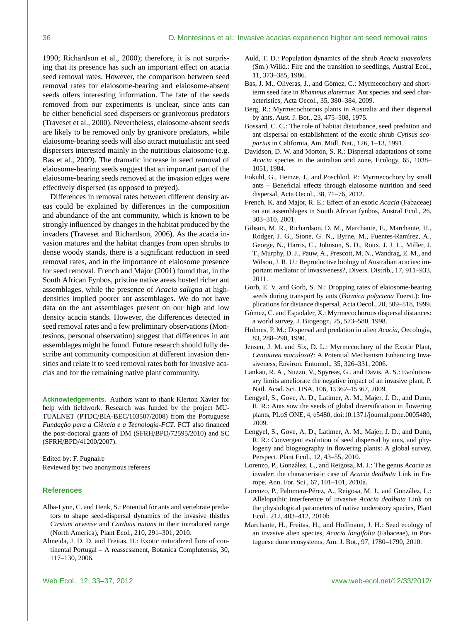1990; Richardson et al., 2000); therefore, it is not surprising that its presence has such an important effect on acacia seed removal rates. However, the comparison between seed removal rates for elaiosome-bearing and elaiosome-absent seeds offers interesting information. The fate of the seeds removed from our experiments is unclear, since ants can be either beneficial seed dispersers or granivorous predators (Traveset et al., 2000). Nevertheless, elaiosome-absent seeds are likely to be removed only by granivore predators, while elaiosome-bearing seeds will also attract mutualistic ant seed dispersers interested mainly in the nutritious elaiosome (e.g. Bas et al., 2009). The dramatic increase in seed removal of elaiosome-bearing seeds suggest that an important part of the elaiosome-bearing seeds removed at the invasion edges were effectively dispersed (as opposed to preyed).

Differences in removal rates between different density areas could be explained by differences in the composition and abundance of the ant community, which is known to be strongly influenced by changes in the habitat produced by the invaders (Traveset and Richardson, 2006). As the acacia invasion matures and the habitat changes from open shrubs to dense woody stands, there is a significant reduction in seed removal rates, and in the importance of elaiosome presence for seed removal. French and Major (2001) found that, in the South African Fynbos, pristine native areas hosted richer ant assemblages, while the presence of *Acacia saligna* at highdensities implied poorer ant assemblages. We do not have data on the ant assemblages present on our high and low density acacia stands. However, the differences detected in seed removal rates and a few preliminary observations (Montesinos, personal observation) suggest that differences in ant assemblages might be found. Future research should fully describe ant community composition at different invasion densities and relate it to seed removal rates both for invasive acacias and for the remaining native plant community.

**Acknowledgements.** Authors want to thank Klerton Xavier for help with fieldwork. Research was funded by the project MU-TUALNET (PTDC/BIA-BEC/103507/2008) from the Portuguese *Funda¸c˜ao para a Ciˆencia e a Tecnologia-FCT*. FCT also financed the post-doctoral grants of DM (SFRH/BPD/72595/2010) and SC (SFRH/BPD/41200/2007).

Edited by: F. Pugnaire Reviewed by: two anonymous referees

### **References**

- Alba-Lynn, C. and Henk, S.: Potential for ants and vertebrate predators to shape seed-dispersal dynamics of the invasive thistles *Cirsium arvense* and *Carduus nutans* in their introduced range (North America), Plant Ecol., 210, 291–301, 2010.
- Almeida, J. D. D. and Freitas, H.: Exotic naturalized flora of continental Portugal – A reassessment, Botanica Complutensis, 30, 117–130, 2006.
- Auld, T. D.: Population dynamics of the shrub *Acacia suaveolens* (Sm.) Willd.: Fire and the transition to seedlings, Austral Ecol., 11, 373–385, 1986.
- Bas, J. M., Oliveras, J., and Gómez, C.: Myrmecochory and shortterm seed fate in *Rhamnus alaternus*: Ant species and seed characteristics, Acta Oecol., 35, 380–384, 2009.
- Berg, R.: Myrmecochorous plants in Australia and their dispersal by ants, Aust. J. Bot., 23, 475–508, 1975.
- Bossard, C. C.: The role of habitat disturbance, seed predation and ant dispersal on establishment of the exotic shrub *Cytisus scoparius* in California, Am. Midl. Nat., 126, 1–13, 1991.
- Davidson, D. W. and Morton, S. R.: Dispersal adaptations of some *Acacia* species in the autralian arid zone, Ecology, 65, 1038– 1051, 1984.
- Fokuhl, G., Heinze, J., and Poschlod, P.: Myrmecochory by small ants – Beneficial effects through elaiosome nutrition and seed dispersal, Acta Oecol., 38, 71–76, 2012.
- French, K. and Major, R. E.: Effect of an exotic *Acacia* (Fabaceae) on ant assemblages in South African fynbos, Austral Ecol., 26, 303–310, 2001.
- Gibson, M. R., Richardson, D. M., Marchante, E., Marchante, H., Rodger, J. G., Stone, G. N., Byrne, M., Fuentes-Ramírez, A., George, N., Harris, C., Johnson, S. D., Roux, J. J. L., Miller, J. T., Murphy, D. J., Pauw, A., Prescott, M. N., Wandrag, E. M., and Wilson, J. R. U.: Reproductive biology of Australian acacias: important mediator of invasiveness?, Divers. Distrib., 17, 911–933, 2011.
- Gorb, E. V. and Gorb, S. N.: Dropping rates of elaiosome-bearing seeds during transport by ants (*Formica polyctena* Foerst.): Implications for distance dispersal, Acta Oecol., 20, 509–518, 1999.
- Gómez, C. and Espadaler, X.: Myrmecochorous dispersal distances: a world survey, J. Biogeogr., 25, 573–580, 1998.
- Holmes, P. M.: Dispersal and predation in alien *Acacia*, Oecologia, 83, 288–290, 1990.
- Jensen, J. M. and Six, D. L.: Myrmecochory of the Exotic Plant, *Centaurea maculosa*?: A Potential Mechanism Enhancing Invasiveness, Environ. Entomol., 35, 326–331, 2006.
- Lankau, R. A., Nuzzo, V., Spyreas, G., and Davis, A. S.: Evolutionary limits ameliorate the negative impact of an invasive plant, P. Natl. Acad. Sci. USA, 106, 15362–15367, 2009.
- Lengyel, S., Gove, A. D., Latimer, A. M., Majer, J. D., and Dunn, R. R.: Ants sow the seeds of global diversification in flowering plants, PLoS ONE, 4, e5480, doi:10.1371/[journal.pone.0005480,](http://dx.doi.org/10.1371/journal.pone.0005480) 2009.
- Lengyel, S., Gove, A. D., Latimer, A. M., Majer, J. D., and Dunn, R. R.: Convergent evolution of seed dispersal by ants, and phylogeny and biogeography in flowering plants: A global survey, Perspect. Plant Ecol., 12, 43–55, 2010.
- Lorenzo, P., González, L., and Reigosa, M. J.: The genus *Acacia* as invader: the characteristic case of *Acacia dealbata* Link in Europe, Ann. For. Sci., 67, 101–101, 2010a.
- Lorenzo, P., Palomera-Pérez, A., Reigosa, M. J., and González, L.: Allelopathic interference of invasive *Acacia dealbata* Link on the physiological parameters of native understory species, Plant Ecol., 212, 403–412, 2010b.
- Marchante, H., Freitas, H., and Hoffmann, J. H.: Seed ecology of an invasive alien species, *Acacia longifolia* (Fabaceae), in Portuguese dune ecosystems, Am. J. Bot., 97, 1780–1790, 2010.